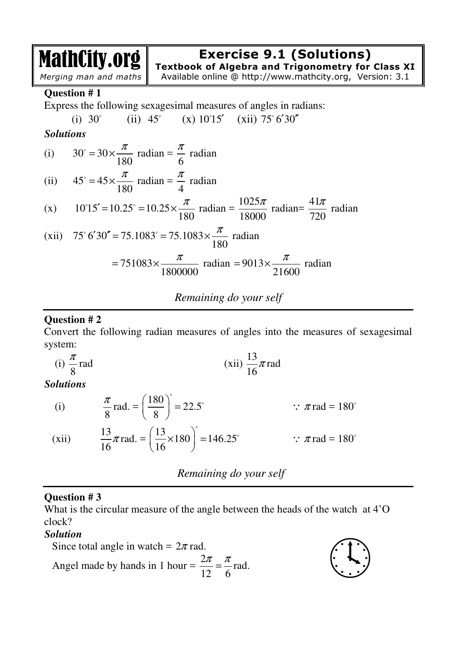# **Exercise 9.1 (Solutions)**

MathCity.org *Merging man and maths*

**Textbook of Algebra and Trigonometry for Class XI**  Available online @ http://www.mathcity.org, Version: 3.1

**Question # 1** 

Express the following sexagesimal measures of angles in radians:

(i) 
$$
30^{\circ}
$$
 (ii)  $45^{\circ}$  (x)  $10^{\circ}15'$  (xii)  $75^{\circ}6'30''$ 

*Solutions* 

(i) 
$$
30^\circ = 30 \times \frac{\pi}{180}
$$
 radian  $=\frac{\pi}{6}$  radian

(ii) 
$$
45^\circ = 45 \times \frac{\pi}{180}
$$
 radian  $= \frac{\pi}{4}$  radian

(x) 
$$
10^{\circ}15' = 10.25^{\circ} = 10.25 \times \frac{\pi}{180}
$$
 radian =  $\frac{1025\pi}{18000}$  radian =  $\frac{41\pi}{720}$  radian

(xii) 75° 6'30" = 75.1083° = 75.1083×
$$
\frac{\pi}{180}
$$
 radian

$$
= 751083 \times \frac{\pi}{1800000} \text{ radian} = 9013 \times \frac{\pi}{21600} \text{ radian}
$$

*Remaining do your self*

### **Question # 2**

Convert the following radian measures of angles into the measures of sexagesimal system:

(i) 
$$
\frac{\pi}{8}
$$
 rad (xii)  $\frac{13}{16}\pi$  rad

*Solutions*

(i) 
$$
\frac{\pi}{8}
$$
 rad. =  $\left(\frac{180}{8}\right)^{\circ}$  = 22.5°   
  $\therefore \pi$  rad = 180°  
(xii)  $\frac{13}{16}\pi$  rad. =  $\left(\frac{13}{16} \times 180\right)^{\circ}$  = 146.25°   
  $\therefore \pi$  rad = 180°

*Remaining do your self*

### **Question # 3**

What is the circular measure of the angle between the heads of the watch at 4'O clock?

### *Solution*

Since total angle in watch =  $2\pi$  rad. Angel made by hands in 1 hour =  $\frac{2}{1}$ 12 6 <sup>π</sup> <sup>π</sup>

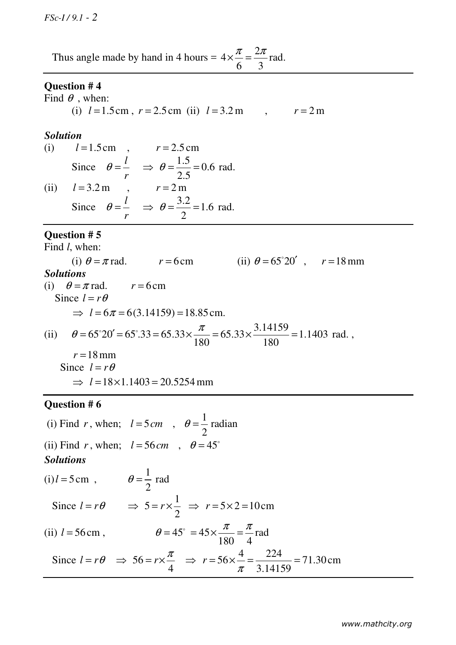Thus angle made by hand in 4 hours =  $4 \times \frac{\pi}{6} = \frac{2}{4}$ 6 3  $\pi$  2 $\pi$  $x - \frac{2\pi}{6}$  rad.

#### **Question # 4**

Find  $\theta$  , when: (i)  $l = 1.5 \text{ cm}$ ,  $r = 2.5 \text{ cm}$  (ii)  $l = 3.2 \text{ m}$ ,  $r = 2 \text{ m}$ 

#### *Solution*

(i)  $l = 1.5 \text{ cm}$ ,  $r = 2.5 \text{ cm}$ Since  $\theta = \frac{l}{r}$ *r*  $\theta = \frac{l}{\theta} \implies \theta = \frac{1.5}{2.5} = 0.6$ 2.5  $\Rightarrow$   $\theta = \frac{1.5}{2.5} = 0.6$  rad. (ii)  $l = 3.2 \text{ m}$ ,  $r = 2 \text{ m}$ Since  $\theta = \frac{l}{r}$ *r*  $\theta = \frac{l}{\theta} \implies \theta = \frac{3.2}{2} = 1.6$ 2  $\Rightarrow$   $\theta = \frac{3.2}{2} = 1.6$  rad.

#### **Question # 5**

Find *l*, when:

(i)  $\theta = \pi$  rad.  $r = 6 \text{ cm}$  (ii)  $\theta = 65^{\circ}20'$ ,  $r = 18 \text{ mm}$ *Solutions*  (i)  $\theta = \pi$  rad.  $r = 6$  cm Since  $l = r\theta$  $\Rightarrow$   $l = 6\pi = 6(3.14159) = 18.85$  cm. (ii)  $\theta = 65^{\circ}20' = 65^{\circ}33 = 65.33 \times \frac{\pi}{100} = 65.33 \times \frac{3.14159}{100} = 1.1403$ 180 180  $\theta = 65^{\circ}20' = 65^{\circ}.33 = 65.33 \times \frac{\pi}{100} = 65.33 \times \frac{3.14159}{100} = 1.1403$  rad.,  $r = 18$  mm Since  $l = r\theta$ 

 $\implies$   $l = 18 \times 1.1403 = 20.5254$  mm

#### **Question # 6**

(i) Find *r*, when;  $l = 5 \, \text{cm}$ , 1 radian 2  $\theta =$ (ii) Find *r*, when;  $l = 56$  cm,  $\theta = 45^{\circ}$ *Solutions*  $(i)$ *l* = 5 cm, 1 2  $\theta = \frac{1}{2}$  rad Since  $l = r\theta$ 1 5 2  $\Rightarrow$  5 =  $r \times \frac{1}{2}$   $\Rightarrow$   $r = 5 \times 2 = 10$  cm (ii)  $l = 56 \text{cm}$ , 45 180 4  $\pi$   $\pi$  $= 45 \times \frac{\pi}{100} = \frac{\pi}{4}$  rad Since  $l = r\theta \Rightarrow 56$ 4  $\Rightarrow$  56 =  $r \times \frac{\pi}{4}$   $\Rightarrow$   $r = 56 \times \frac{4}{\pi} = \frac{224}{3.1456} = 71.30$ 3.14159  $\Rightarrow$   $r = 56 \times \frac{4}{\pi} = \frac{224}{3.14159} = 71.30 \text{ cm}$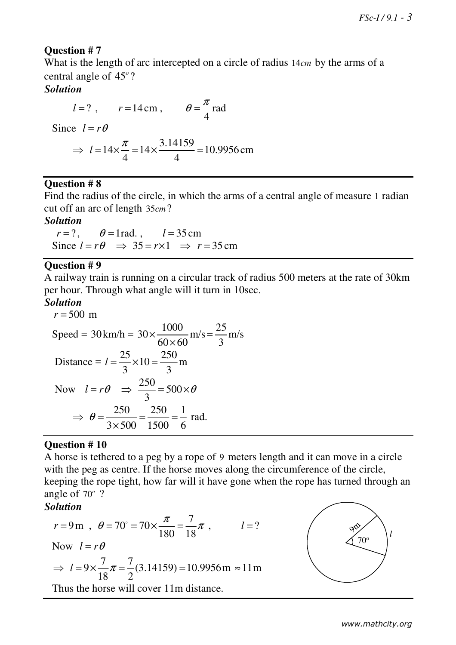# **Question # 7**

What is the length of arc intercepted on a circle of radius 14*cm* by the arms of a central angle of 45*<sup>o</sup>* ?

# *Solution*

 $l = ?$ ,  $r = 14 \text{ cm}$ , 4  $\theta = \frac{\pi}{4}$  rad Since  $l = r\theta$ 14 4  $\Rightarrow$   $l = 14 \times \frac{\pi}{4} = 14 \times \frac{3.14159}{4} = 10.9956$ 4  $= 14 \times \frac{3.1 + 139}{4} = 10.9956$  cm

# **Question # 8**

Find the radius of the circle, in which the arms of a central angle of measure 1 radian cut off an arc of length 35*cm* ?

# *Solution*

 $r = ?$ ,  $\theta = 1$ rad. ,  $l = 35$  cm Since  $l = r\theta \implies 35 = r \times 1 \implies r = 35 \text{ cm}$ 

### **Question # 9**

A railway train is running on a circular track of radius 500 meters at the rate of 30km per hour. Through what angle will it turn in 10sec.

# *Solution*

$$
r = 500 \text{ m}
$$
  
\nSpeed = 30 km/h = 30× $\frac{1000}{60 \times 60}$  m/s =  $\frac{25}{3}$  m/s  
\nDistance =  $l = \frac{25}{3} \times 10 = \frac{250}{3}$  m  
\nNow  $l = r\theta \Rightarrow \frac{250}{3} = 500 \times \theta$   
\n $\Rightarrow \theta = \frac{250}{3 \times 500} = \frac{250}{1500} = \frac{1}{6}$  rad.

### **Question # 10**

A horse is tethered to a peg by a rope of 9 meters length and it can move in a circle with the peg as centre. If the horse moves along the circumference of the circle, keeping the rope tight, how far will it have gone when the rope has turned through an angle of 70*<sup>o</sup>* ?

# *Solution*

$$
r = 9 \text{ m}
$$
,  $\theta = 70^{\circ} = 70 \times \frac{\pi}{180} = \frac{7}{18} \pi$ ,  $l = ?$   
\nNow  $l = r\theta$   
\n $\Rightarrow l = 9 \times \frac{7}{18} \pi = \frac{7}{2} (3.14159) = 10.9956 \text{ m} \approx 11 \text{ m}$ 

Thus the horse will cover 11m distance.

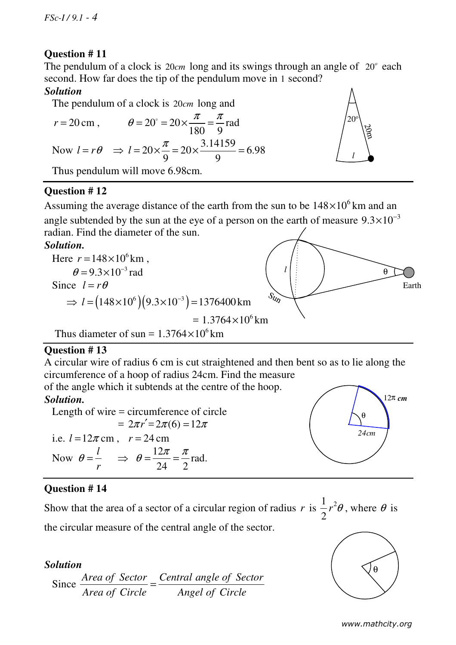# **Question # 11**

The pendulum of a clock is 20*cm* long and its swings through an angle of 20<sup>°</sup> each second. How far does the tip of the pendulum move in 1 second?

# *Solution*

The pendulum of a clock is 20*cm* long and



# **Question # 12**

Assuming the average distance of the earth from the sun to be  $148 \times 10^6$  km and an angle subtended by the sun at the eye of a person on the earth of measure  $9.3 \times 10^{-3}$ radian. Find the diameter of the sun.

# *Solution.*



# **Question # 13**

A circular wire of radius 6 cm is cut straightened and then bent so as to lie along the circumference of a hoop of radius 24cm. Find the measure

of the angle which it subtends at the centre of the hoop.

# *Solution.*

 Length of wire = circumference of circle  $= 2\pi r' = 2\pi (6) = 12\pi$ i.e.  $l = 12\pi$  cm,  $r = 24$  cm Now  $\theta = \frac{l}{l}$ *r*  $\theta = \frac{V}{\tau}$ 12 24 2  $\Rightarrow \theta = \frac{12\pi}{34} = \frac{\pi}{2}$  rad.

# **Question # 14**

Show that the area of a sector of a circular region of radius  $r$  is  $\frac{1}{2}r^2$ 2  $r^2\theta$ , where  $\theta$  is the circular measure of the central angle of the sector.

# *Solution*

Since 
$$
\frac{\text{Area of } \text{Sector}}{\text{Area of } \text{Circle}} = \frac{\text{Central angle of } \text{Sector}}{\text{Angle of } \text{Circle}}
$$



θ

*24cm*

12π *cm*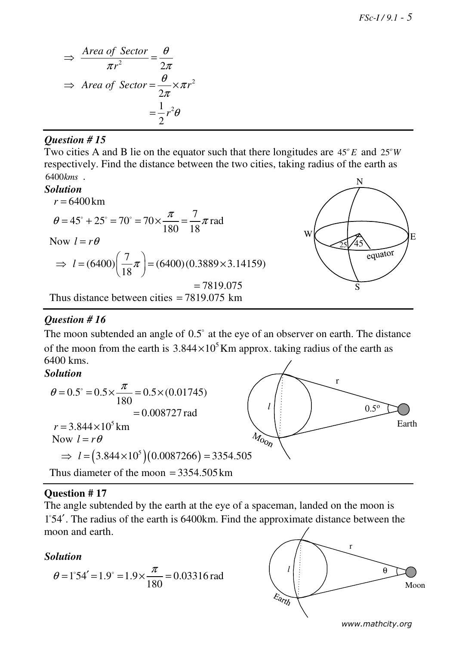*FSc-I / 9.1 - 5*

$$
\Rightarrow \frac{\text{Area of Sector}}{\pi r^2} = \frac{\theta}{2\pi}
$$

$$
\Rightarrow \text{Area of Sector} = \frac{\theta}{2\pi} \times \pi r^2
$$

$$
= \frac{1}{2}r^2\theta
$$

### *Question # 15*

Two cities A and B lie on the equator such that there longitudes are  $45^{\circ}E$  and  $25^{\circ}W$ respectively. Find the distance between the two cities, taking radius of the earth as 6400*kms* . N

### *Solution*

$$
r = 6400 \text{ km}
$$
  
\n
$$
\theta = 45^{\circ} + 25^{\circ} = 70^{\circ} = 70 \times \frac{\pi}{180} = \frac{7}{18} \pi \text{ rad}
$$
  
\nNow  $l = r\theta$   
\n
$$
\Rightarrow l = (6400) \left(\frac{7}{18} \pi\right) = (6400) (0.3889 \times 3.14159)
$$
  
\n
$$
= 7819.075
$$
  
\nThus distance between cities = 7819.075 km

# *Question # 16*

The moon subtended an angle of  $0.5^{\circ}$  at the eye of an observer on earth. The distance of the moon from the earth is  $3.844 \times 10^5$  Km approx. taking radius of the earth as 6400 kms.

# *Solution*



### **Question # 17**

The angle subtended by the earth at the eye of a spaceman, landed on the moon is 1 54′ . The radius of the earth is 6400km. Find the approximate distance between the moon and earth.

### *Solution*

$$
\theta = 1^{\circ}54' = 1.9^{\circ} = 1.9 \times \frac{\pi}{180} = 0.03316 \text{ rad}
$$



 $25\sqrt{45}$ 

 $W(\bigcup_{\mathcal{A}} \bigcup_{\mathcal{A}} E)$ 

 $\frac{1}{\text{equator}}$ 

S

*www.mathcity.org*